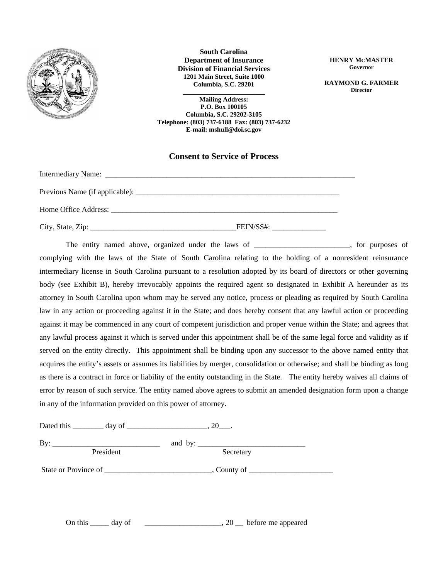

**South Carolina Department of Insurance Division of Financial Services 1201 Main Street, Suite 1000 Columbia, S.C. 29201**

**\_\_\_\_\_\_\_\_\_\_\_\_\_\_\_\_\_\_\_\_\_\_\_\_\_ Mailing Address: P.O. Box 100105 Columbia, S.C. 29202-3105 Telephone: (803) 737-6188 Fax: (803) 737-6232 E-mail: mshull@doi.sc.gov**

### **Consent to Service of Process**

| $FEIN/SS\#:$ |
|--------------|

The entity named above, organized under the laws of \_\_\_\_\_\_\_\_\_\_\_\_\_\_\_\_\_\_\_\_, for purposes of complying with the laws of the State of South Carolina relating to the holding of a nonresident reinsurance intermediary license in South Carolina pursuant to a resolution adopted by its board of directors or other governing body (see Exhibit B), hereby irrevocably appoints the required agent so designated in Exhibit A hereunder as its attorney in South Carolina upon whom may be served any notice, process or pleading as required by South Carolina law in any action or proceeding against it in the State; and does hereby consent that any lawful action or proceeding against it may be commenced in any court of competent jurisdiction and proper venue within the State; and agrees that any lawful process against it which is served under this appointment shall be of the same legal force and validity as if served on the entity directly. This appointment shall be binding upon any successor to the above named entity that acquires the entity's assets or assumes its liabilities by merger, consolidation or otherwise; and shall be binding as long as there is a contract in force or liability of the entity outstanding in the State. The entity hereby waives all claims of error by reason of such service. The entity named above agrees to submit an amended designation form upon a change in any of the information provided on this power of attorney.

Dated this \_\_\_\_\_\_\_\_\_ day of \_\_\_\_\_\_\_\_\_\_\_\_\_\_\_\_\_\_\_\_\_, 20\_\_\_.

By: \_\_\_\_\_\_\_\_\_\_\_\_\_\_\_\_\_\_\_\_\_\_\_\_\_\_\_\_ and by: \_\_\_\_\_\_\_\_\_\_\_\_\_\_\_\_\_\_\_\_\_\_\_\_\_\_\_\_ President Secretary State or Province of \_\_\_\_\_\_\_\_\_\_\_\_\_\_\_\_\_\_\_\_\_\_\_\_\_\_\_\_, County of \_\_\_\_\_\_\_\_\_\_\_\_\_\_\_\_\_\_\_\_\_\_

On this  $\frac{1}{\sqrt{2}}$  day of  $\frac{1}{\sqrt{2}}$  = 0.000  $\frac{1}{\sqrt{2}}$  before me appeared

**HENRY MCMASTER Governor**

**RAYMOND G. FARMER Director**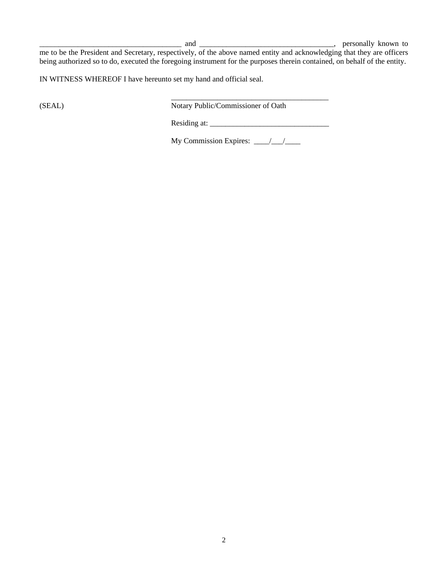\_\_\_\_\_\_\_\_\_\_\_\_\_\_\_\_\_\_\_\_\_\_\_\_\_\_\_\_\_\_\_\_\_\_\_\_\_ and \_\_\_\_\_\_\_\_\_\_\_\_\_\_\_\_\_\_\_\_\_\_\_\_\_\_\_\_\_\_\_\_\_\_\_, personally known to

me to be the President and Secretary, respectively, of the above named entity and acknowledging that they are officers being authorized so to do, executed the foregoing instrument for the purposes therein contained, on behalf of the entity.

IN WITNESS WHEREOF I have hereunto set my hand and official seal.

\_\_\_\_\_\_\_\_\_\_\_\_\_\_\_\_\_\_\_\_\_\_\_\_\_\_\_\_\_\_\_\_\_\_\_\_\_\_\_\_\_ (SEAL) Notary Public/Commissioner of Oath

Residing at: \_\_\_\_\_\_\_\_\_\_\_\_\_\_\_\_\_\_\_\_\_\_\_\_\_\_\_\_\_\_\_

My Commission Expires:  $\frac{\sqrt{2}}{2}$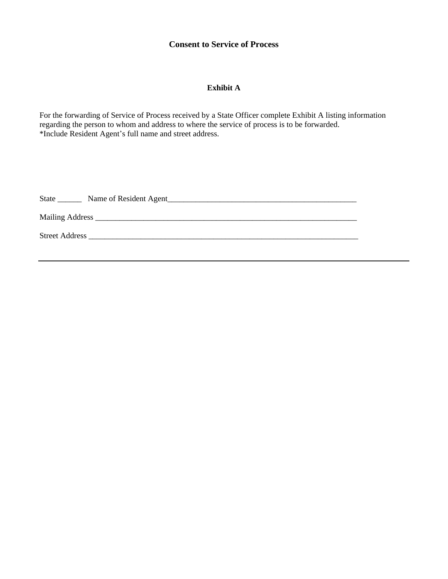# **Consent to Service of Process**

## **Exhibit A**

For the forwarding of Service of Process received by a State Officer complete Exhibit A listing information regarding the person to whom and address to where the service of process is to be forwarded. \*Include Resident Agent's full name and street address.

| State                 | Name of Resident Agent |
|-----------------------|------------------------|
|                       |                        |
| <b>Street Address</b> |                        |